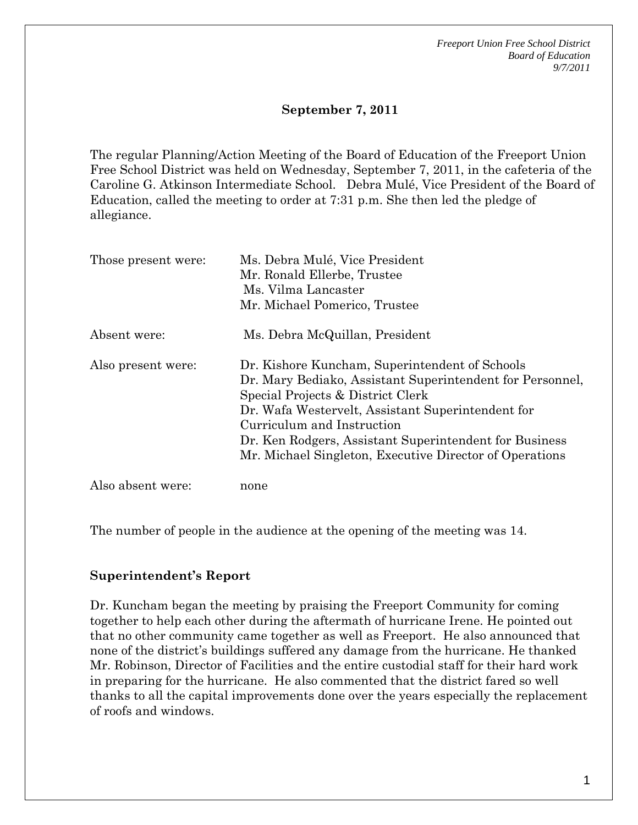### **September 7, 2011**

The regular Planning/Action Meeting of the Board of Education of the Freeport Union Free School District was held on Wednesday, September 7, 2011, in the cafeteria of the Caroline G. Atkinson Intermediate School. Debra Mulé, Vice President of the Board of Education, called the meeting to order at 7:31 p.m. She then led the pledge of allegiance.

| Those present were: | Ms. Debra Mulé, Vice President<br>Mr. Ronald Ellerbe, Trustee<br>Ms. Vilma Lancaster<br>Mr. Michael Pomerico, Trustee                                                                                                                                                                                                                                    |
|---------------------|----------------------------------------------------------------------------------------------------------------------------------------------------------------------------------------------------------------------------------------------------------------------------------------------------------------------------------------------------------|
| Absent were:        | Ms. Debra McQuillan, President                                                                                                                                                                                                                                                                                                                           |
| Also present were:  | Dr. Kishore Kuncham, Superintendent of Schools<br>Dr. Mary Bediako, Assistant Superintendent for Personnel,<br>Special Projects & District Clerk<br>Dr. Wafa Westervelt, Assistant Superintendent for<br>Curriculum and Instruction<br>Dr. Ken Rodgers, Assistant Superintendent for Business<br>Mr. Michael Singleton, Executive Director of Operations |
| Also absent were:   | none                                                                                                                                                                                                                                                                                                                                                     |

The number of people in the audience at the opening of the meeting was 14.

#### **Superintendent's Report**

Dr. Kuncham began the meeting by praising the Freeport Community for coming together to help each other during the aftermath of hurricane Irene. He pointed out that no other community came together as well as Freeport. He also announced that none of the district's buildings suffered any damage from the hurricane. He thanked Mr. Robinson, Director of Facilities and the entire custodial staff for their hard work in preparing for the hurricane. He also commented that the district fared so well thanks to all the capital improvements done over the years especially the replacement of roofs and windows.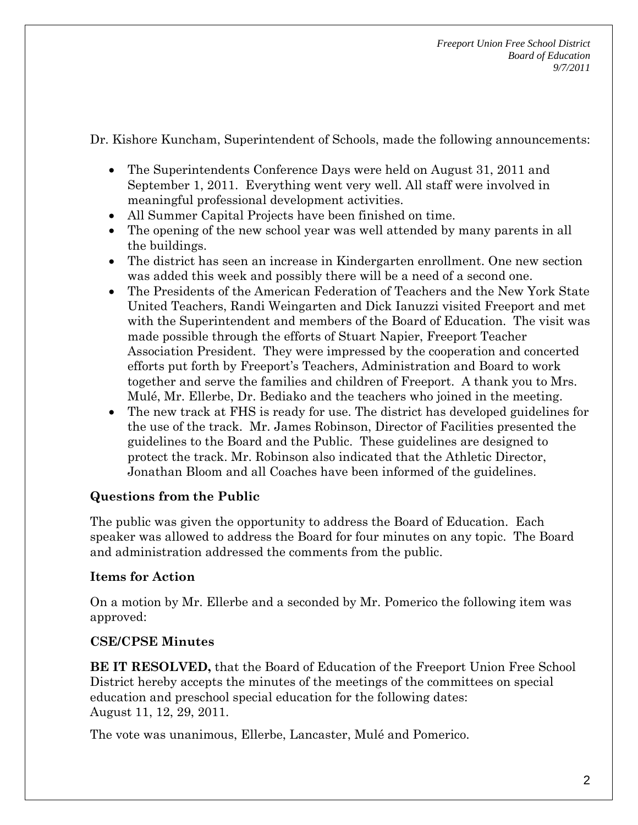Dr. Kishore Kuncham, Superintendent of Schools, made the following announcements:

- The Superintendents Conference Days were held on August 31, 2011 and September 1, 2011. Everything went very well. All staff were involved in meaningful professional development activities.
- All Summer Capital Projects have been finished on time.
- The opening of the new school year was well attended by many parents in all the buildings.
- The district has seen an increase in Kindergarten enrollment. One new section was added this week and possibly there will be a need of a second one.
- The Presidents of the American Federation of Teachers and the New York State United Teachers, Randi Weingarten and Dick Ianuzzi visited Freeport and met with the Superintendent and members of the Board of Education. The visit was made possible through the efforts of Stuart Napier, Freeport Teacher Association President. They were impressed by the cooperation and concerted efforts put forth by Freeport's Teachers, Administration and Board to work together and serve the families and children of Freeport. A thank you to Mrs. Mulé, Mr. Ellerbe, Dr. Bediako and the teachers who joined in the meeting.
- The new track at FHS is ready for use. The district has developed guidelines for the use of the track. Mr. James Robinson, Director of Facilities presented the guidelines to the Board and the Public. These guidelines are designed to protect the track. Mr. Robinson also indicated that the Athletic Director, Jonathan Bloom and all Coaches have been informed of the guidelines.

### **Questions from the Public**

The public was given the opportunity to address the Board of Education. Each speaker was allowed to address the Board for four minutes on any topic. The Board and administration addressed the comments from the public.

### **Items for Action**

On a motion by Mr. Ellerbe and a seconded by Mr. Pomerico the following item was approved:

### **CSE/CPSE Minutes**

**BE IT RESOLVED,** that the Board of Education of the Freeport Union Free School District hereby accepts the minutes of the meetings of the committees on special education and preschool special education for the following dates: August 11, 12, 29, 2011.

The vote was unanimous, Ellerbe, Lancaster, Mulé and Pomerico.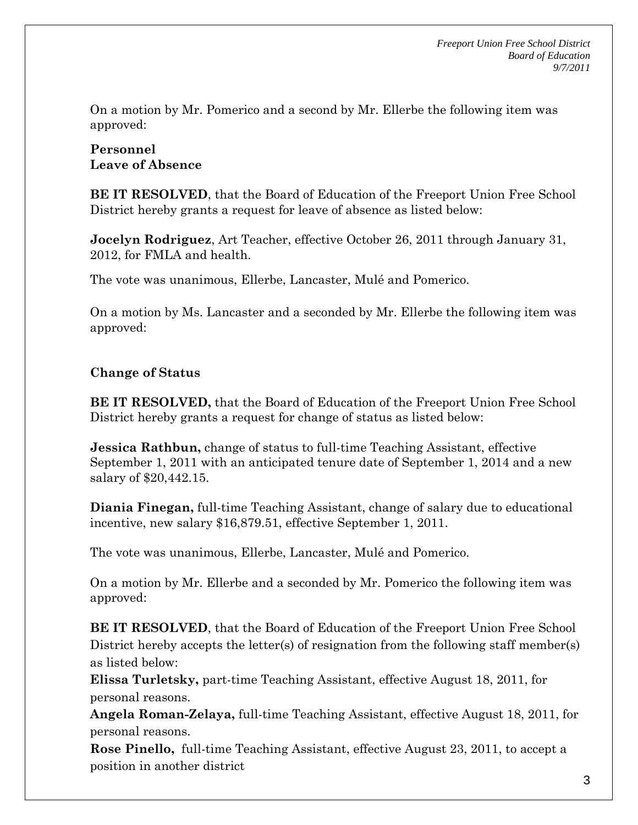On a motion by Mr. Pomerico and a second by Mr. Ellerbe the following item was approved:

### **Personnel Leave of Absence**

**BE IT RESOLVED**, that the Board of Education of the Freeport Union Free School District hereby grants a request for leave of absence as listed below:

**Jocelyn Rodriguez**, Art Teacher, effective October 26, 2011 through January 31, 2012, for FMLA and health.

The vote was unanimous, Ellerbe, Lancaster, Mulé and Pomerico.

On a motion by Ms. Lancaster and a seconded by Mr. Ellerbe the following item was approved:

## **Change of Status**

**BE IT RESOLVED,** that the Board of Education of the Freeport Union Free School District hereby grants a request for change of status as listed below:

**Jessica Rathbun,** change of status to full-time Teaching Assistant, effective September 1, 2011 with an anticipated tenure date of September 1, 2014 and a new salary of \$20,442.15.

**Diania Finegan,** full-time Teaching Assistant, change of salary due to educational incentive, new salary \$16,879.51, effective September 1, 2011.

The vote was unanimous, Ellerbe, Lancaster, Mulé and Pomerico.

On a motion by Mr. Ellerbe and a seconded by Mr. Pomerico the following item was approved:

**BE IT RESOLVED**, that the Board of Education of the Freeport Union Free School District hereby accepts the letter(s) of resignation from the following staff member(s) as listed below:

**Elissa Turletsky,** part-time Teaching Assistant, effective August 18, 2011, for personal reasons.

**Angela Roman-Zelaya,** full-time Teaching Assistant, effective August 18, 2011, for personal reasons.

**Rose Pinello,** full-time Teaching Assistant, effective August 23, 2011, to accept a position in another district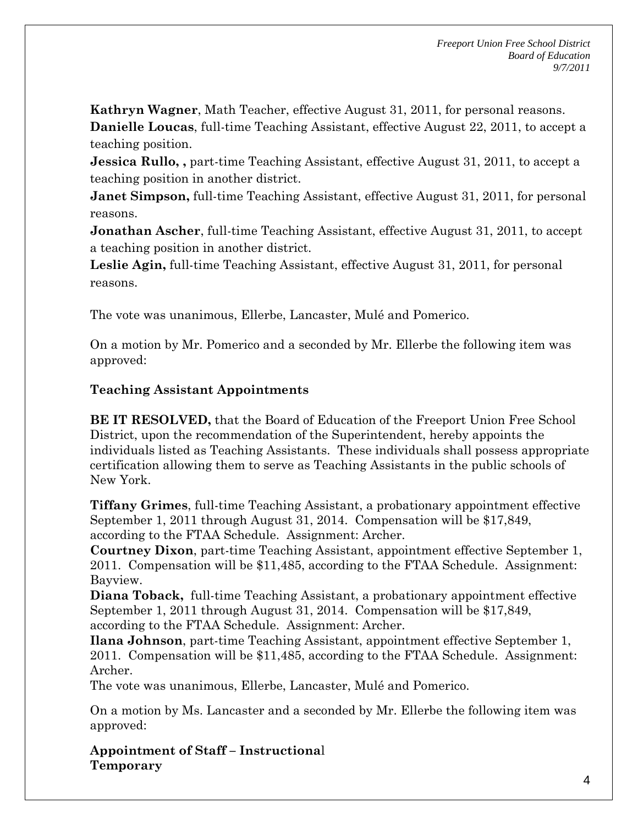**Kathryn Wagner**, Math Teacher, effective August 31, 2011, for personal reasons. **Danielle Loucas**, full-time Teaching Assistant, effective August 22, 2011, to accept a teaching position.

**Jessica Rullo,, part-time Teaching Assistant, effective August 31, 2011, to accept a** teaching position in another district.

**Janet Simpson,** full-time Teaching Assistant, effective August 31, 2011, for personal reasons.

**Jonathan Ascher**, full-time Teaching Assistant, effective August 31, 2011, to accept a teaching position in another district.

**Leslie Agin,** full-time Teaching Assistant, effective August 31, 2011, for personal reasons.

The vote was unanimous, Ellerbe, Lancaster, Mulé and Pomerico.

On a motion by Mr. Pomerico and a seconded by Mr. Ellerbe the following item was approved:

### **Teaching Assistant Appointments**

**BE IT RESOLVED,** that the Board of Education of the Freeport Union Free School District, upon the recommendation of the Superintendent, hereby appoints the individuals listed as Teaching Assistants. These individuals shall possess appropriate certification allowing them to serve as Teaching Assistants in the public schools of New York.

**Tiffany Grimes**, full-time Teaching Assistant, a probationary appointment effective September 1, 2011 through August 31, 2014. Compensation will be \$17,849, according to the FTAA Schedule. Assignment: Archer.

**Courtney Dixon**, part-time Teaching Assistant, appointment effective September 1, 2011. Compensation will be \$11,485, according to the FTAA Schedule. Assignment: Bayview.

**Diana Toback,** full-time Teaching Assistant, a probationary appointment effective September 1, 2011 through August 31, 2014. Compensation will be \$17,849, according to the FTAA Schedule. Assignment: Archer.

**Ilana Johnson**, part-time Teaching Assistant, appointment effective September 1, 2011. Compensation will be \$11,485, according to the FTAA Schedule. Assignment: Archer.

The vote was unanimous, Ellerbe, Lancaster, Mulé and Pomerico.

On a motion by Ms. Lancaster and a seconded by Mr. Ellerbe the following item was approved:

**Appointment of Staff – Instructiona**l **Temporary**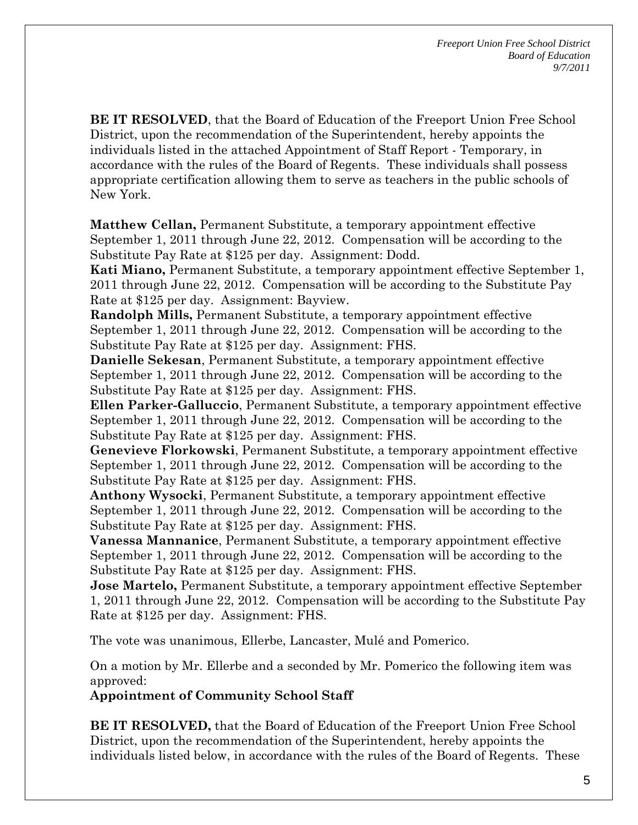**BE IT RESOLVED**, that the Board of Education of the Freeport Union Free School District, upon the recommendation of the Superintendent, hereby appoints the individuals listed in the attached Appointment of Staff Report - Temporary, in accordance with the rules of the Board of Regents. These individuals shall possess appropriate certification allowing them to serve as teachers in the public schools of New York.

**Matthew Cellan,** Permanent Substitute, a temporary appointment effective September 1, 2011 through June 22, 2012. Compensation will be according to the Substitute Pay Rate at \$125 per day. Assignment: Dodd.

**Kati Miano,** Permanent Substitute, a temporary appointment effective September 1, 2011 through June 22, 2012. Compensation will be according to the Substitute Pay Rate at \$125 per day. Assignment: Bayview.

**Randolph Mills,** Permanent Substitute, a temporary appointment effective September 1, 2011 through June 22, 2012. Compensation will be according to the Substitute Pay Rate at \$125 per day. Assignment: FHS.

**Danielle Sekesan**, Permanent Substitute, a temporary appointment effective September 1, 2011 through June 22, 2012. Compensation will be according to the Substitute Pay Rate at \$125 per day. Assignment: FHS.

**Ellen Parker-Galluccio**, Permanent Substitute, a temporary appointment effective September 1, 2011 through June 22, 2012. Compensation will be according to the Substitute Pay Rate at \$125 per day. Assignment: FHS.

**Genevieve Florkowski**, Permanent Substitute, a temporary appointment effective September 1, 2011 through June 22, 2012. Compensation will be according to the Substitute Pay Rate at \$125 per day. Assignment: FHS.

**Anthony Wysocki**, Permanent Substitute, a temporary appointment effective September 1, 2011 through June 22, 2012. Compensation will be according to the Substitute Pay Rate at \$125 per day. Assignment: FHS.

**Vanessa Mannanice**, Permanent Substitute, a temporary appointment effective September 1, 2011 through June 22, 2012. Compensation will be according to the Substitute Pay Rate at \$125 per day. Assignment: FHS.

**Jose Martelo,** Permanent Substitute, a temporary appointment effective September 1, 2011 through June 22, 2012. Compensation will be according to the Substitute Pay Rate at \$125 per day. Assignment: FHS.

The vote was unanimous, Ellerbe, Lancaster, Mulé and Pomerico.

On a motion by Mr. Ellerbe and a seconded by Mr. Pomerico the following item was approved:

**Appointment of Community School Staff** 

**BE IT RESOLVED,** that the Board of Education of the Freeport Union Free School District, upon the recommendation of the Superintendent, hereby appoints the individuals listed below, in accordance with the rules of the Board of Regents. These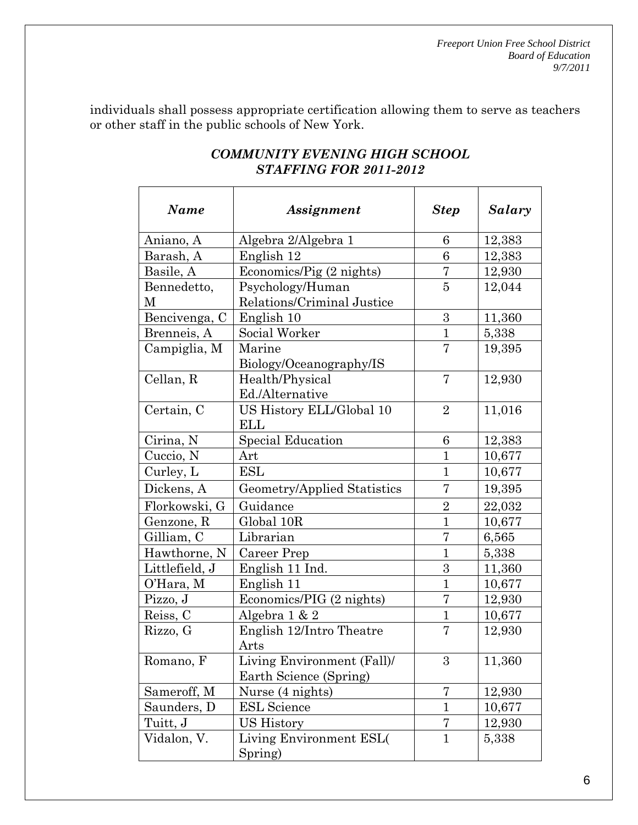individuals shall possess appropriate certification allowing them to serve as teachers or other staff in the public schools of New York.

| <b>Name</b>    | Assignment                  | <b>Step</b>    | Salary |
|----------------|-----------------------------|----------------|--------|
| Aniano, A      | Algebra 2/Algebra 1         | 6              | 12,383 |
| Barash, A      | English 12                  | 6              | 12,383 |
| Basile, A      | Economics/Pig (2 nights)    | 7              | 12,930 |
| Bennedetto,    | Psychology/Human            | 5              | 12,044 |
| М              | Relations/Criminal Justice  |                |        |
| Bencivenga, C  | English 10                  | 3              | 11,360 |
| Brenneis, A    | Social Worker               | $\mathbf{1}$   | 5,338  |
| Campiglia, M   | Marine                      | 7              | 19,395 |
|                | Biology/Oceanography/IS     |                |        |
| Cellan, R      | Health/Physical             | 7              | 12,930 |
|                | Ed./Alternative             |                |        |
| Certain, C     | US History ELL/Global 10    | $\overline{2}$ | 11,016 |
|                | ELL                         |                |        |
| Cirina, N      | <b>Special Education</b>    | 6              | 12,383 |
| Cuccio, N      | Art                         | $\mathbf{1}$   | 10,677 |
| Curley, L      | ESL                         | $\mathbf{1}$   | 10,677 |
| Dickens, A     | Geometry/Applied Statistics | 7              | 19,395 |
| Florkowski, G  | Guidance                    | $\overline{2}$ | 22,032 |
| Genzone, R     | Global 10R                  | 1              | 10,677 |
| Gilliam, C     | Librarian                   | 7              | 6,565  |
| Hawthorne, N   | Career Prep                 | $\mathbf{1}$   | 5,338  |
| Littlefield, J | English 11 Ind.             | 3              | 11,360 |
| O'Hara, M      | English 11                  | $\mathbf{1}$   | 10,677 |
| Pizzo, J       | Economics/PIG (2 nights)    | 7              | 12,930 |
| Reiss, C       | Algebra 1 & 2               | 1              | 10,677 |
| Rizzo, G       | English 12/Intro Theatre    | 7              | 12,930 |
|                | $\operatorname{Arts}$       |                |        |
| Romano, F      | Living Environment (Fall)/  | 3              | 11,360 |
|                | Earth Science (Spring)      |                |        |
| Sameroff, M    | Nurse (4 nights)            | 7              | 12,930 |
| Saunders, D    | <b>ESL</b> Science          | $\mathbf{1}$   | 10,677 |
| Tuitt, J       | US History                  | 7              | 12,930 |
| Vidalon, V.    | Living Environment ESL(     | $\mathbf{1}$   | 5,338  |
|                | Spring)                     |                |        |

# *COMMUNITY EVENING HIGH SCHOOL STAFFING FOR 2011-2012*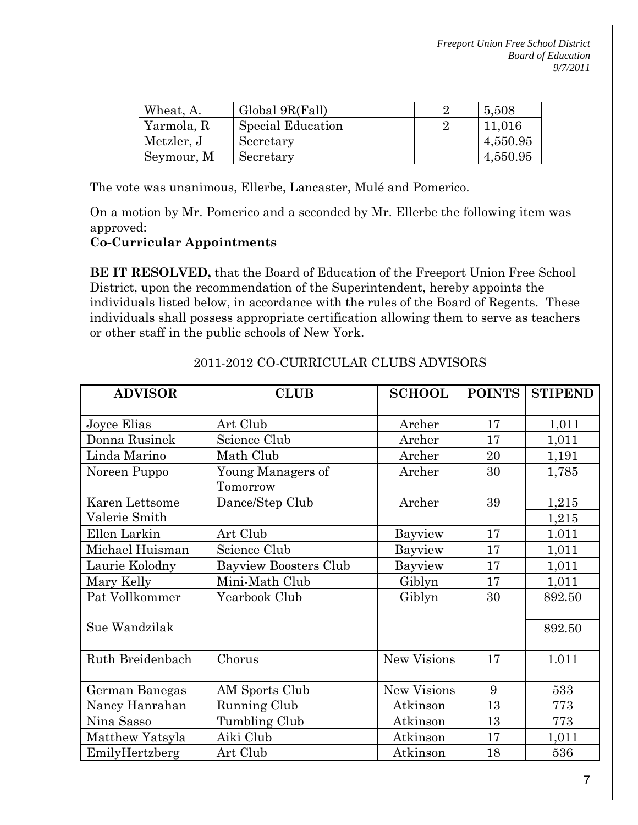| Wheat, A.  | Global 9R(Fall)   | 5,508    |
|------------|-------------------|----------|
| Yarmola, R | Special Education | 11,016   |
| Metzler, J | Secretary         | 4,550.95 |
| Seymour, M | Secretary         | 4,550.95 |

The vote was unanimous, Ellerbe, Lancaster, Mulé and Pomerico.

On a motion by Mr. Pomerico and a seconded by Mr. Ellerbe the following item was approved:

### **Co-Curricular Appointments**

**BE IT RESOLVED,** that the Board of Education of the Freeport Union Free School District, upon the recommendation of the Superintendent, hereby appoints the individuals listed below, in accordance with the rules of the Board of Regents. These individuals shall possess appropriate certification allowing them to serve as teachers or other staff in the public schools of New York.

| <b>ADVISOR</b>   | <b>CLUB</b>                  | <b>SCHOOL</b>      | <b>POINTS</b> | <b>STIPEND</b> |
|------------------|------------------------------|--------------------|---------------|----------------|
|                  |                              |                    |               |                |
| Joyce Elias      | Art Club                     | Archer             | 17            | 1,011          |
| Donna Rusinek    | Science Club                 | Archer             | 17            | 1,011          |
| Linda Marino     | Math Club                    | Archer             | 20            | 1,191          |
| Noreen Puppo     | Young Managers of            | Archer             | 30            | 1,785          |
|                  | Tomorrow                     |                    |               |                |
| Karen Lettsome   | Dance/Step Club              | Archer             | 39            | 1,215          |
| Valerie Smith    |                              |                    |               | 1,215          |
| Ellen Larkin     | Art Club                     | Bayview            | 17            | 1.011          |
| Michael Huisman  | Science Club                 | Bayview            | 17            | 1,011          |
| Laurie Kolodny   | <b>Bayview Boosters Club</b> | Bayview            | 17            | 1,011          |
| Mary Kelly       | Mini-Math Club               | Giblyn             | 17            | 1,011          |
| Pat Vollkommer   | Yearbook Club                | Giblyn             | 30            | 892.50         |
|                  |                              |                    |               |                |
| Sue Wandzilak    |                              |                    |               | 892.50         |
|                  |                              |                    |               |                |
| Ruth Breidenbach | Chorus                       | <b>New Visions</b> | 17            | 1.011          |
|                  |                              |                    |               |                |
| German Banegas   | AM Sports Club               | <b>New Visions</b> | 9             | 533            |
| Nancy Hanrahan   | Running Club                 | Atkinson           | 13            | 773            |
| Nina Sasso       | Tumbling Club                | Atkinson           | 13            | 773            |
| Matthew Yatsyla  | Aiki Club                    | Atkinson           | 17            | 1,011          |
| EmilyHertzberg   | Art Club                     | Atkinson           | 18            | 536            |

### 2011-2012 CO-CURRICULAR CLUBS ADVISORS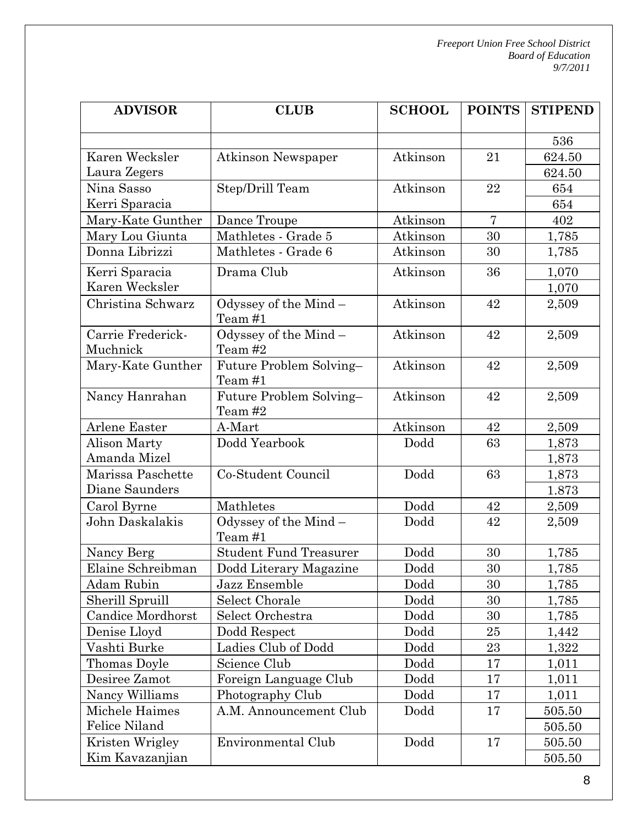| <b>ADVISOR</b>    | <b>CLUB</b>                        | <b>SCHOOL</b> | <b>POINTS</b>  | <b>STIPEND</b> |
|-------------------|------------------------------------|---------------|----------------|----------------|
|                   |                                    |               |                |                |
|                   |                                    |               |                | 536            |
| Karen Wecksler    | <b>Atkinson Newspaper</b>          | Atkinson      | 21             | 624.50         |
| Laura Zegers      |                                    |               |                | 624.50         |
| Nina Sasso        | Step/Drill Team                    | Atkinson      | 22             | 654            |
| Kerri Sparacia    |                                    |               |                | 654            |
| Mary-Kate Gunther | Dance Troupe                       | Atkinson      | $\overline{7}$ | 402            |
| Mary Lou Giunta   | Mathletes - Grade 5                | Atkinson      | 30             | 1,785          |
| Donna Librizzi    | Mathletes - Grade 6                | Atkinson      | 30             | 1,785          |
| Kerri Sparacia    | Drama Club                         | Atkinson      | 36             | 1,070          |
| Karen Wecksler    |                                    |               |                | 1,070          |
| Christina Schwarz | Odyssey of the Mind -<br>Team #1   | Atkinson      | 42             | 2,509          |
| Carrie Frederick- | Odyssey of the Mind-               | Atkinson      | 42             | 2,509          |
| Muchnick          | Team #2                            |               |                |                |
| Mary-Kate Gunther | Future Problem Solving-<br>Team #1 | Atkinson      | 42             | 2,509          |
| Nancy Hanrahan    | Future Problem Solving-<br>Team #2 | Atkinson      | 42             | 2,509          |
| Arlene Easter     | A-Mart                             | Atkinson      | 42             | 2,509          |
| Alison Marty      | Dodd Yearbook                      | Dodd          | 63             | 1,873          |
| Amanda Mizel      |                                    |               |                | 1,873          |
| Marissa Paschette | Co-Student Council                 | Dodd          | 63             | 1,873          |
| Diane Saunders    |                                    |               |                | 1.873          |
| Carol Byrne       | Mathletes                          | Dodd          | 42             | 2,509          |
| John Daskalakis   | Odyssey of the Mind-<br>Team #1    | Dodd          | 42             | 2,509          |
| Nancy Berg        | <b>Student Fund Treasurer</b>      | Dodd          | 30             | 1,785          |
| Elaine Schreibman | Dodd Literary Magazine             | Dodd          | 30             | 1,785          |
| Adam Rubin        | Jazz Ensemble                      | Dodd          | 30             | 1,785          |
| Sherill Spruill   | <b>Select Chorale</b>              | Dodd          | 30             | 1,785          |
| Candice Mordhorst | Select Orchestra                   | Dodd          | 30             | 1,785          |
| Denise Lloyd      | Dodd Respect                       | Dodd          | 25             | 1,442          |
| Vashti Burke      | Ladies Club of Dodd                | Dodd          | 23             | 1,322          |
| Thomas Doyle      | Science Club                       | Dodd          | 17             | 1,011          |
| Desiree Zamot     | Foreign Language Club              | Dodd          | 17             | 1,011          |
| Nancy Williams    | Photography Club                   | Dodd          | 17             | 1,011          |
| Michele Haimes    | A.M. Announcement Club             | Dodd          | 17             | 505.50         |
| Felice Niland     |                                    |               |                | 505.50         |
| Kristen Wrigley   | Environmental Club                 | Dodd          | 17             | $505.50\,$     |
| Kim Kavazanjian   |                                    |               |                | 505.50         |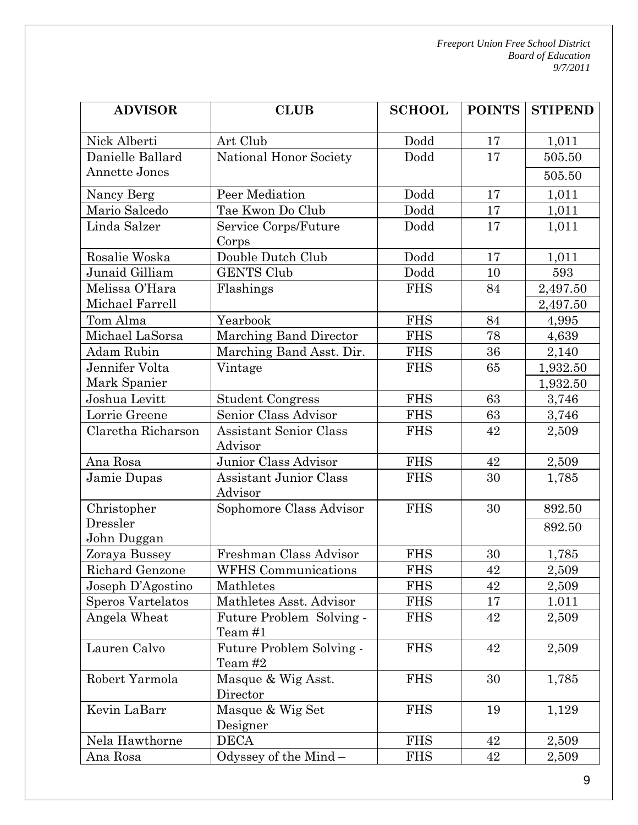| <b>ADVISOR</b>           | <b>CLUB</b>                              | <b>SCHOOL</b> | <b>POINTS</b> | <b>STIPEND</b> |
|--------------------------|------------------------------------------|---------------|---------------|----------------|
| Nick Alberti             | Art Club                                 | Dodd          | 17            | 1,011          |
| Danielle Ballard         | National Honor Society                   | Dodd          | 17            | 505.50         |
| Annette Jones            |                                          |               |               | 505.50         |
| Nancy Berg               | Peer Mediation                           | Dodd          | 17            | 1,011          |
| Mario Salcedo            | Tae Kwon Do Club                         | Dodd          | 17            | 1,011          |
| Linda Salzer             | Service Corps/Future                     | Dodd          | 17            | 1,011          |
|                          | Corps                                    |               |               |                |
| Rosalie Woska            | Double Dutch Club                        | Dodd          | 17            | 1,011          |
| Junaid Gilliam           | <b>GENTS Club</b>                        | Dodd          | 10            | 593            |
| Melissa O'Hara           | Flashings                                | <b>FHS</b>    | 84            | 2,497.50       |
| Michael Farrell          |                                          |               |               | 2,497.50       |
| Tom Alma                 | Yearbook                                 | <b>FHS</b>    | 84            | 4,995          |
| Michael LaSorsa          | Marching Band Director                   | <b>FHS</b>    | 78            | 4,639          |
| Adam Rubin               | Marching Band Asst. Dir.                 | <b>FHS</b>    | 36            | 2,140          |
| Jennifer Volta           | Vintage                                  | <b>FHS</b>    | 65            | 1,932.50       |
| Mark Spanier             |                                          |               |               | 1,932.50       |
| Joshua Levitt            | <b>Student Congress</b>                  | <b>FHS</b>    | 63            | 3,746          |
| Lorrie Greene            | Senior Class Advisor                     | <b>FHS</b>    | 63            | 3,746          |
| Claretha Richarson       | <b>Assistant Senior Class</b>            | <b>FHS</b>    | 42            | 2,509          |
|                          | Advisor                                  |               |               |                |
| Ana Rosa                 | Junior Class Advisor                     | <b>FHS</b>    | 42            | 2,509          |
| Jamie Dupas              | <b>Assistant Junior Class</b><br>Advisor | <b>FHS</b>    | 30            | 1,785          |
| Christopher              | Sophomore Class Advisor                  | <b>FHS</b>    | 30            | 892.50         |
| Dressler                 |                                          |               |               | 892.50         |
| John Duggan              |                                          |               |               |                |
| Zoraya Bussey            | Freshman Class Advisor                   | <b>FHS</b>    | 30            | 1,785          |
| Richard Genzone          | WFHS Communications                      | <b>FHS</b>    | 42            | 2,509          |
| Joseph D'Agostino        | Mathletes                                | <b>FHS</b>    | 42            | 2,509          |
| <b>Speros Vartelatos</b> | Mathletes Asst. Advisor                  | <b>FHS</b>    | 17            | 1.011          |
| Angela Wheat             | Future Problem Solving -<br>Team #1      | <b>FHS</b>    | 42            | 2,509          |
| Lauren Calvo             | Future Problem Solving -<br>Team #2      | <b>FHS</b>    | 42            | 2,509          |
| Robert Yarmola           | Masque & Wig Asst.<br>Director           | <b>FHS</b>    | 30            | 1,785          |
| Kevin LaBarr             | Masque & Wig Set<br>Designer             | <b>FHS</b>    | 19            | 1,129          |
| Nela Hawthorne           | <b>DECA</b>                              | <b>FHS</b>    | 42            | 2,509          |
| Ana Rosa                 | Odyssey of the Mind $-$                  | <b>FHS</b>    | 42            | 2,509          |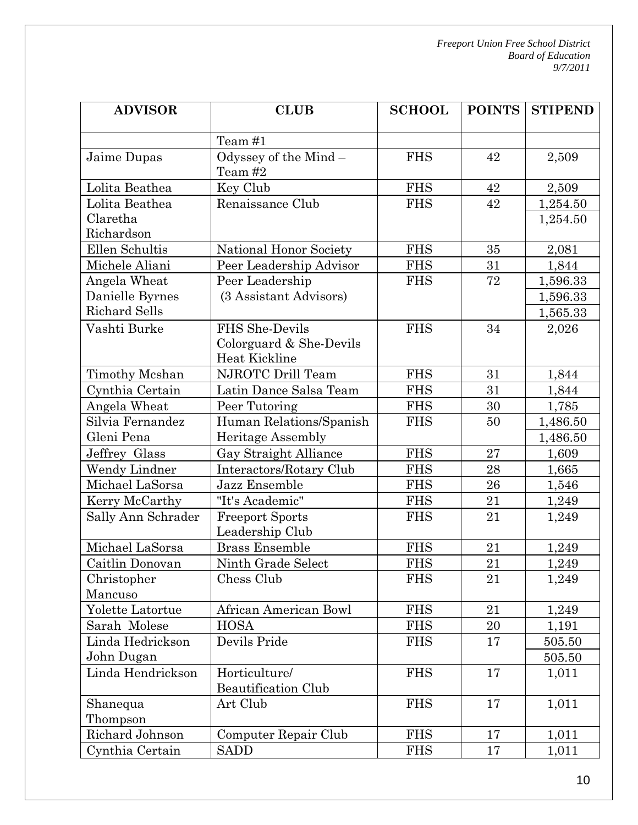| <b>ADVISOR</b>       | <b>CLUB</b>                        | <b>SCHOOL</b> | <b>POINTS</b> | <b>STIPEND</b> |
|----------------------|------------------------------------|---------------|---------------|----------------|
|                      | Team #1                            |               |               |                |
| Jaime Dupas          | Odyssey of the Mind $-$<br>Team #2 | <b>FHS</b>    | 42            | 2,509          |
| Lolita Beathea       | Key Club                           | <b>FHS</b>    | 42            | 2,509          |
| Lolita Beathea       | Renaissance Club                   | <b>FHS</b>    | 42            | 1,254.50       |
| Claretha             |                                    |               |               | 1,254.50       |
| Richardson           |                                    |               |               |                |
| Ellen Schultis       | National Honor Society             | <b>FHS</b>    | 35            | 2,081          |
| Michele Aliani       | Peer Leadership Advisor            | <b>FHS</b>    | 31            | 1,844          |
| Angela Wheat         | Peer Leadership                    | <b>FHS</b>    | 72            | 1,596.33       |
| Danielle Byrnes      | (3 Assistant Advisors)             |               |               | 1,596.33       |
| <b>Richard Sells</b> |                                    |               |               | 1,565.33       |
| Vashti Burke         | FHS She-Devils                     | <b>FHS</b>    | 34            | 2,026          |
|                      | Colorguard & She-Devils            |               |               |                |
|                      | Heat Kickline                      |               |               |                |
| Timothy Mcshan       | NJROTC Drill Team                  | <b>FHS</b>    | 31            | 1,844          |
| Cynthia Certain      | Latin Dance Salsa Team             | <b>FHS</b>    | 31            | 1,844          |
| Angela Wheat         | Peer Tutoring                      | <b>FHS</b>    | 30            | 1,785          |
| Silvia Fernandez     | Human Relations/Spanish            | <b>FHS</b>    | 50            | 1,486.50       |
| Gleni Pena           | Heritage Assembly                  |               |               | 1,486.50       |
| Jeffrey Glass        | Gay Straight Alliance              | <b>FHS</b>    | 27            | 1,609          |
| Wendy Lindner        | Interactors/Rotary Club            | <b>FHS</b>    | 28            | 1,665          |
| Michael LaSorsa      | Jazz Ensemble                      | <b>FHS</b>    | 26            | 1,546          |
| Kerry McCarthy       | "It's Academic"                    | <b>FHS</b>    | 21            | 1,249          |
| Sally Ann Schrader   | <b>Freeport Sports</b>             | <b>FHS</b>    | 21            | 1,249          |
|                      | Leadership Club                    |               |               |                |
| Michael LaSorsa      | <b>Brass Ensemble</b>              | <b>FHS</b>    | 21            | 1,249          |
| Caitlin Donovan      | Ninth Grade Select                 | <b>FHS</b>    | 21            | 1,249          |
| Christopher          | Chess Club                         | <b>FHS</b>    | 21            | 1,249          |
| Mancuso              |                                    |               |               |                |
| Yolette Latortue     | African American Bowl              | <b>FHS</b>    | 21            | 1,249          |
| Sarah Molese         | <b>HOSA</b>                        | <b>FHS</b>    | 20            | 1,191          |
| Linda Hedrickson     | Devils Pride                       | <b>FHS</b>    | 17            | 505.50         |
| John Dugan           |                                    |               |               | 505.50         |
| Linda Hendrickson    | Horticulture/                      | <b>FHS</b>    | 17            | 1,011          |
|                      | <b>Beautification Club</b>         |               |               |                |
| Shanequa             | Art Club                           | <b>FHS</b>    | 17            | 1,011          |
| Thompson             |                                    |               |               |                |
| Richard Johnson      | Computer Repair Club               | <b>FHS</b>    | 17            | 1,011          |
| Cynthia Certain      | <b>SADD</b>                        | <b>FHS</b>    | 17            | 1,011          |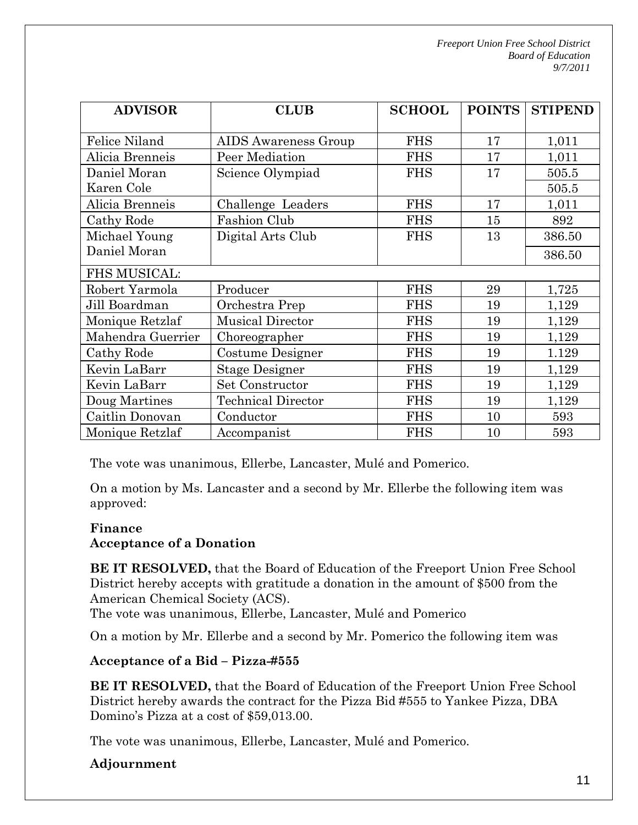| <b>ADVISOR</b>      | <b>CLUB</b>                 | <b>SCHOOL</b> | <b>POINTS</b> | <b>STIPEND</b> |
|---------------------|-----------------------------|---------------|---------------|----------------|
| Felice Niland       | <b>AIDS</b> Awareness Group | <b>FHS</b>    | 17            | 1,011          |
| Alicia Brenneis     | Peer Mediation              | <b>FHS</b>    | 17            | 1,011          |
| Daniel Moran        | Science Olympiad            | <b>FHS</b>    | 17            | 505.5          |
| Karen Cole          |                             |               |               | 505.5          |
| Alicia Brenneis     | Challenge Leaders           | <b>FHS</b>    | 17            | 1,011          |
| Cathy Rode          | Fashion Club                | <b>FHS</b>    | 15            | 892            |
| Michael Young       | Digital Arts Club           | <b>FHS</b>    | 13            | 386.50         |
| Daniel Moran        |                             |               |               | 386.50         |
| <b>FHS MUSICAL:</b> |                             |               |               |                |
| Robert Yarmola      | Producer                    | <b>FHS</b>    | 29            | 1,725          |
| Jill Boardman       | Orchestra Prep              | <b>FHS</b>    | 19            | 1,129          |
| Monique Retzlaf     | <b>Musical Director</b>     | <b>FHS</b>    | 19            | 1,129          |
| Mahendra Guerrier   | Choreographer               | <b>FHS</b>    | 19            | 1,129          |
| Cathy Rode          | Costume Designer            | <b>FHS</b>    | 19            | 1.129          |
| Kevin LaBarr        | <b>Stage Designer</b>       | <b>FHS</b>    | 19            | 1,129          |
| Kevin LaBarr        | Set Constructor             | <b>FHS</b>    | 19            | 1,129          |
| Doug Martines       | <b>Technical Director</b>   | <b>FHS</b>    | 19            | 1,129          |
| Caitlin Donovan     | Conductor                   | <b>FHS</b>    | 10            | 593            |
| Monique Retzlaf     | Accompanist                 | <b>FHS</b>    | 10            | 593            |

The vote was unanimous, Ellerbe, Lancaster, Mulé and Pomerico.

On a motion by Ms. Lancaster and a second by Mr. Ellerbe the following item was approved:

### **Finance**

### **Acceptance of a Donation**

**BE IT RESOLVED,** that the Board of Education of the Freeport Union Free School District hereby accepts with gratitude a donation in the amount of \$500 from the American Chemical Society (ACS).

The vote was unanimous, Ellerbe, Lancaster, Mulé and Pomerico

On a motion by Mr. Ellerbe and a second by Mr. Pomerico the following item was

### **Acceptance of a Bid – Pizza-#555**

**BE IT RESOLVED,** that the Board of Education of the Freeport Union Free School District hereby awards the contract for the Pizza Bid #555 to Yankee Pizza, DBA Domino's Pizza at a cost of \$59,013.00.

The vote was unanimous, Ellerbe, Lancaster, Mulé and Pomerico.

## **Adjournment**